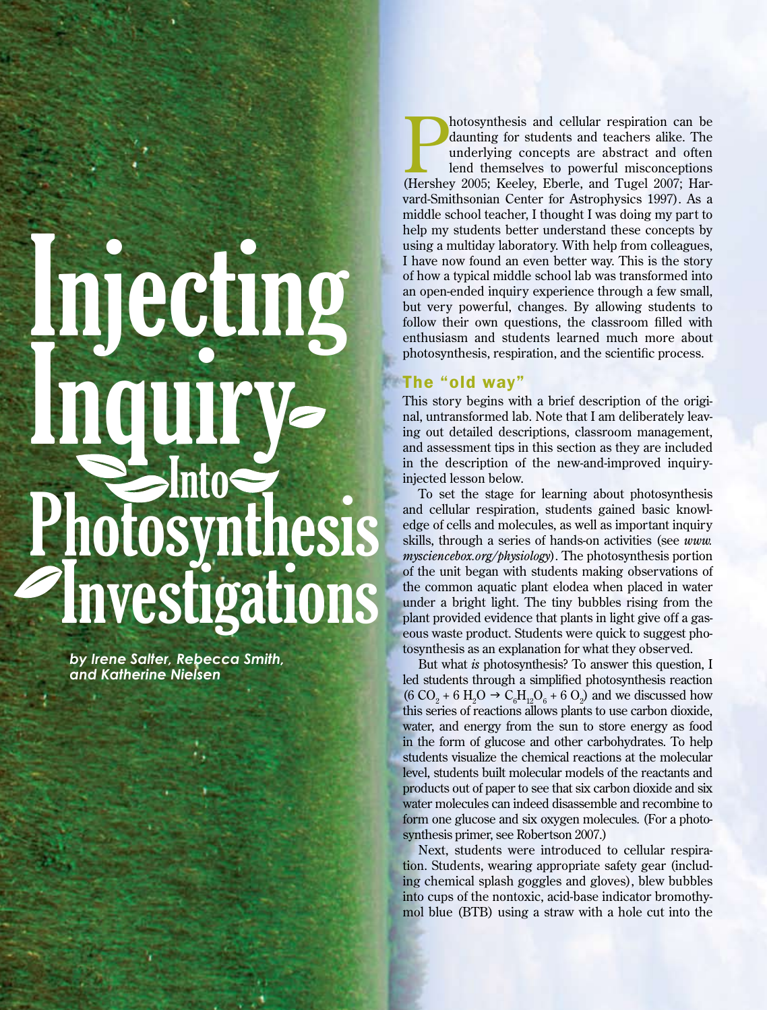# mecung Inquiry thesis **nvest**

*by Irene Salter, Rebecca Smith, and Katherine Nielsen*

34 SCIENCE SCOPE

hotosynthesis and cellular respiration can be daunting for students and teachers alike. The underlying concepts are abstract and often lend themselves to powerful misconceptions (Hershey 2005; Keeley, Eberle, and Tugel 200 hotosynthesis and cellular respiration can be daunting for students and teachers alike. The underlying concepts are abstract and often lend themselves to powerful misconceptions vard-Smithsonian Center for Astrophysics 1997). As a middle school teacher, I thought I was doing my part to help my students better understand these concepts by using a multiday laboratory. With help from colleagues, I have now found an even better way. This is the story of how a typical middle school lab was transformed into an open-ended inquiry experience through a few small, but very powerful, changes. By allowing students to follow their own questions, the classroom filled with enthusiasm and students learned much more about photosynthesis, respiration, and the scientific process.

# The "old way"

This story begins with a brief description of the original, untransformed lab. Note that I am deliberately leaving out detailed descriptions, classroom management, and assessment tips in this section as they are included in the description of the new-and-improved inquiryinjected lesson below.

To set the stage for learning about photosynthesis and cellular respiration, students gained basic knowledge of cells and molecules, as well as important inquiry skills, through a series of hands-on activities (see *www. mysciencebox.org/physiology*). The photosynthesis portion of the unit began with students making observations of the common aquatic plant elodea when placed in water under a bright light. The tiny bubbles rising from the plant provided evidence that plants in light give off a gaseous waste product. Students were quick to suggest photosynthesis as an explanation for what they observed.

But what *is* photosynthesis? To answer this question, I led students through a simplified photosynthesis reaction  $(6 CO<sub>2</sub> + 6 H<sub>2</sub>O  $\rightarrow$  C<sub>6</sub>H<sub>12</sub>O<sub>6</sub> + 6 O<sub>2</sub>) and we discussed how$ this series of reactions allows plants to use carbon dioxide, water, and energy from the sun to store energy as food in the form of glucose and other carbohydrates. To help students visualize the chemical reactions at the molecular level, students built molecular models of the reactants and products out of paper to see that six carbon dioxide and six water molecules can indeed disassemble and recombine to form one glucose and six oxygen molecules. (For a photosynthesis primer, see Robertson 2007.)

Next, students were introduced to cellular respiration. Students, wearing appropriate safety gear (including chemical splash goggles and gloves), blew bubbles into cups of the nontoxic, acid-base indicator bromothymol blue (BTB) using a straw with a hole cut into the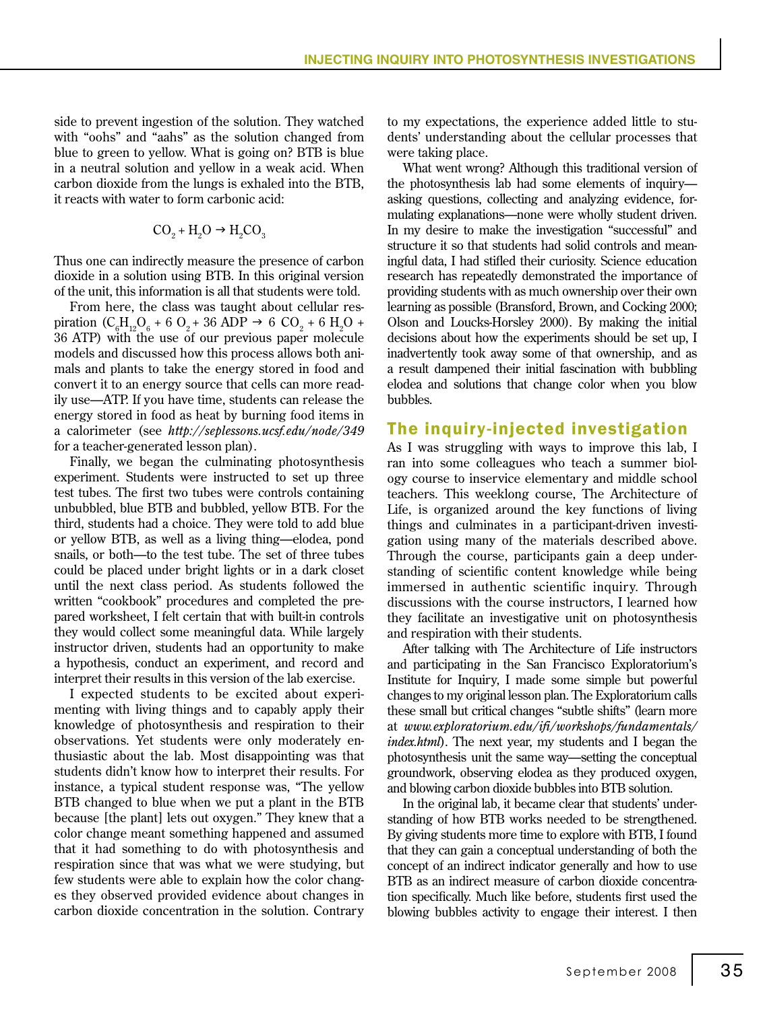side to prevent ingestion of the solution. They watched with "oohs" and "aahs" as the solution changed from blue to green to yellow. What is going on? BTB is blue in a neutral solution and yellow in a weak acid. When carbon dioxide from the lungs is exhaled into the BTB, it reacts with water to form carbonic acid:

$$
CO_2 + H_2O \rightarrow H_2CO_3
$$

Thus one can indirectly measure the presence of carbon dioxide in a solution using BTB. In this original version of the unit, this information is all that students were told.

From here, the class was taught about cellular respiration  $(C_6H_{12}O_6 + 6O_2 + 36 ADP \rightarrow 6 CO_2 + 6 H_2O +$ 36 ATP) with the use of our previous paper molecule models and discussed how this process allows both animals and plants to take the energy stored in food and convert it to an energy source that cells can more readily use—ATP. If you have time, students can release the energy stored in food as heat by burning food items in a calorimeter (see *http://seplessons.ucsf.edu/node/349* for a teacher-generated lesson plan).

Finally, we began the culminating photosynthesis experiment. Students were instructed to set up three test tubes. The first two tubes were controls containing unbubbled, blue BTB and bubbled, yellow BTB. For the third, students had a choice. They were told to add blue or yellow BTB, as well as a living thing—elodea, pond snails, or both—to the test tube. The set of three tubes could be placed under bright lights or in a dark closet until the next class period. As students followed the written "cookbook" procedures and completed the prepared worksheet, I felt certain that with built-in controls they would collect some meaningful data. While largely instructor driven, students had an opportunity to make a hypothesis, conduct an experiment, and record and interpret their results in this version of the lab exercise.

I expected students to be excited about experimenting with living things and to capably apply their knowledge of photosynthesis and respiration to their observations. Yet students were only moderately enthusiastic about the lab. Most disappointing was that students didn't know how to interpret their results. For instance, a typical student response was, "The yellow BTB changed to blue when we put a plant in the BTB because [the plant] lets out oxygen." They knew that a color change meant something happened and assumed that it had something to do with photosynthesis and respiration since that was what we were studying, but few students were able to explain how the color changes they observed provided evidence about changes in carbon dioxide concentration in the solution. Contrary to my expectations, the experience added little to students' understanding about the cellular processes that were taking place.

What went wrong? Although this traditional version of the photosynthesis lab had some elements of inquiry asking questions, collecting and analyzing evidence, formulating explanations—none were wholly student driven. In my desire to make the investigation "successful" and structure it so that students had solid controls and meaningful data, I had stifled their curiosity. Science education research has repeatedly demonstrated the importance of providing students with as much ownership over their own learning as possible (Bransford, Brown, and Cocking 2000; Olson and Loucks-Horsley 2000). By making the initial decisions about how the experiments should be set up, I inadvertently took away some of that ownership, and as a result dampened their initial fascination with bubbling elodea and solutions that change color when you blow bubbles.

# The inquiry-injected investigation

As I was struggling with ways to improve this lab, I ran into some colleagues who teach a summer biology course to inservice elementary and middle school teachers. This weeklong course, The Architecture of Life, is organized around the key functions of living things and culminates in a participant-driven investigation using many of the materials described above. Through the course, participants gain a deep understanding of scientific content knowledge while being immersed in authentic scientific inquiry. Through discussions with the course instructors, I learned how they facilitate an investigative unit on photosynthesis and respiration with their students.

After talking with The Architecture of Life instructors and participating in the San Francisco Exploratorium's Institute for Inquiry, I made some simple but powerful changes to my original lesson plan. The Exploratorium calls these small but critical changes "subtle shifts" (learn more at *www.exploratorium.edu/ifi/workshops/fundamentals/ index.html*). The next year, my students and I began the photosynthesis unit the same way—setting the conceptual groundwork, observing elodea as they produced oxygen, and blowing carbon dioxide bubbles into BTB solution.

In the original lab, it became clear that students' understanding of how BTB works needed to be strengthened. By giving students more time to explore with BTB, I found that they can gain a conceptual understanding of both the concept of an indirect indicator generally and how to use BTB as an indirect measure of carbon dioxide concentration specifically. Much like before, students first used the blowing bubbles activity to engage their interest. I then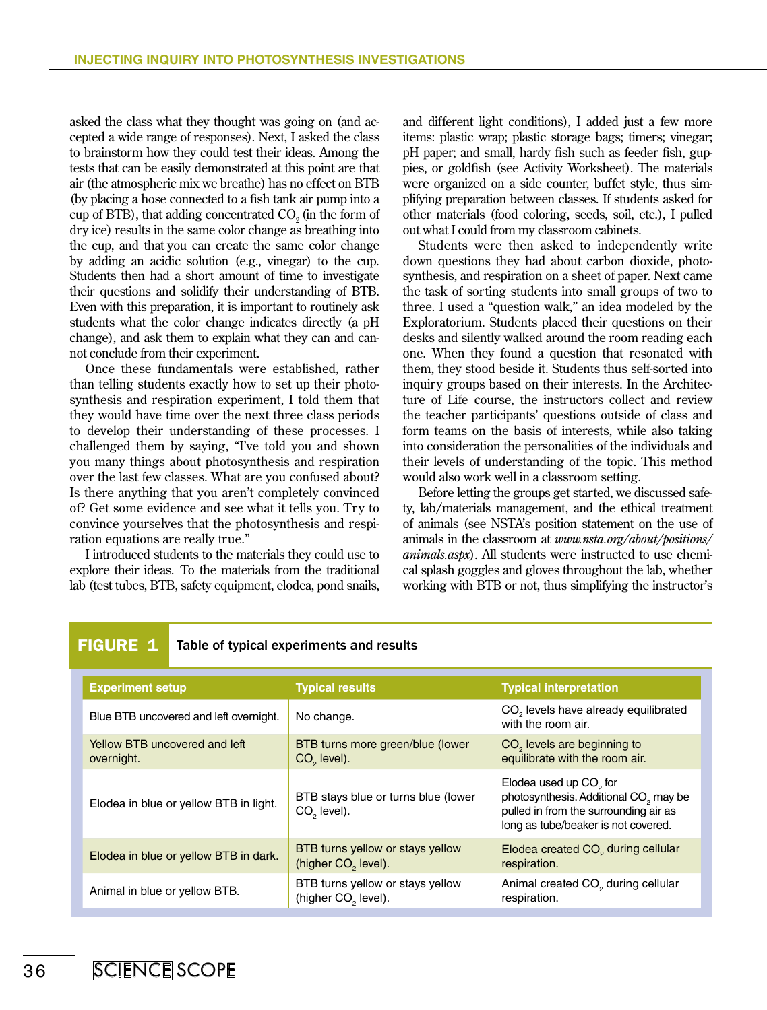asked the class what they thought was going on (and accepted a wide range of responses). Next, I asked the class to brainstorm how they could test their ideas. Among the tests that can be easily demonstrated at this point are that air (the atmospheric mix we breathe) has no effect on BTB (by placing a hose connected to a fish tank air pump into a cup of BTB), that adding concentrated  $CO<sub>2</sub>$  (in the form of dry ice) results in the same color change as breathing into the cup, and that you can create the same color change by adding an acidic solution (e.g., vinegar) to the cup. Students then had a short amount of time to investigate their questions and solidify their understanding of BTB. Even with this preparation, it is important to routinely ask students what the color change indicates directly (a pH change), and ask them to explain what they can and cannot conclude from their experiment.

Once these fundamentals were established, rather than telling students exactly how to set up their photosynthesis and respiration experiment, I told them that they would have time over the next three class periods to develop their understanding of these processes. I challenged them by saying, "I've told you and shown you many things about photosynthesis and respiration over the last few classes. What are you confused about? Is there anything that you aren't completely convinced of? Get some evidence and see what it tells you. Try to convince yourselves that the photosynthesis and respiration equations are really true."

I introduced students to the materials they could use to explore their ideas. To the materials from the traditional lab (test tubes, BTB, safety equipment, elodea, pond snails,

and different light conditions), I added just a few more items: plastic wrap; plastic storage bags; timers; vinegar; pH paper; and small, hardy fish such as feeder fish, guppies, or goldfish (see Activity Worksheet). The materials were organized on a side counter, buffet style, thus simplifying preparation between classes. If students asked for other materials (food coloring, seeds, soil, etc.), I pulled out what I could from my classroom cabinets.

Students were then asked to independently write down questions they had about carbon dioxide, photosynthesis, and respiration on a sheet of paper. Next came the task of sorting students into small groups of two to three. I used a "question walk," an idea modeled by the Exploratorium. Students placed their questions on their desks and silently walked around the room reading each one. When they found a question that resonated with them, they stood beside it. Students thus self-sorted into inquiry groups based on their interests. In the Architecture of Life course, the instructors collect and review the teacher participants' questions outside of class and form teams on the basis of interests, while also taking into consideration the personalities of the individuals and their levels of understanding of the topic. This method would also work well in a classroom setting.

Before letting the groups get started, we discussed safety, lab/materials management, and the ethical treatment of animals (see NSTA's position statement on the use of animals in the classroom at *www.nsta.org/about/positions/ animals.aspx*). All students were instructed to use chemical splash goggles and gloves throughout the lab, whether working with BTB or not, thus simplifying the instructor's

| <b>FIGURE 1</b><br>Table of typical experiments and results |                                             |  |                                                                     |                                                                                                                                                                         |
|-------------------------------------------------------------|---------------------------------------------|--|---------------------------------------------------------------------|-------------------------------------------------------------------------------------------------------------------------------------------------------------------------|
|                                                             | <b>Experiment setup</b>                     |  | <b>Typical results</b>                                              | <b>Typical interpretation</b>                                                                                                                                           |
|                                                             | Blue BTB uncovered and left overnight.      |  | No change.                                                          | CO <sub>2</sub> levels have already equilibrated<br>with the room air.                                                                                                  |
|                                                             | Yellow BTB uncovered and left<br>overnight. |  | BTB turns more green/blue (lower<br>CO <sub>2</sub> level).         | CO <sub>2</sub> levels are beginning to<br>equilibrate with the room air.                                                                                               |
|                                                             | Elodea in blue or yellow BTB in light.      |  | BTB stays blue or turns blue (lower<br>$CO2$ level).                | Elodea used up CO <sub>2</sub> for<br>photosynthesis. Additional CO <sub>2</sub> may be<br>pulled in from the surrounding air as<br>long as tube/beaker is not covered. |
|                                                             | Elodea in blue or yellow BTB in dark.       |  | BTB turns yellow or stays yellow<br>(higher CO <sub>2</sub> level). | Elodea created CO <sub>2</sub> during cellular<br>respiration.                                                                                                          |
|                                                             | Animal in blue or yellow BTB.               |  | BTB turns yellow or stays yellow<br>(higher CO <sub>2</sub> level). | Animal created CO <sub>2</sub> during cellular<br>respiration.                                                                                                          |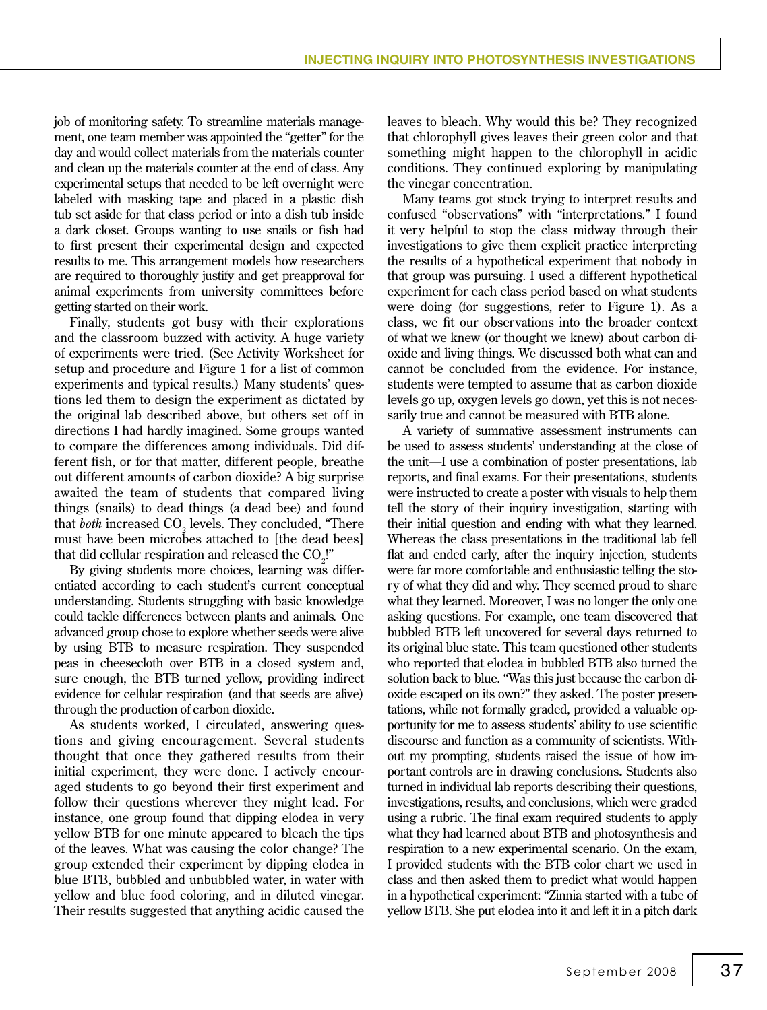job of monitoring safety. To streamline materials management, one team member was appointed the "getter" for the day and would collect materials from the materials counter and clean up the materials counter at the end of class. Any experimental setups that needed to be left overnight were labeled with masking tape and placed in a plastic dish tub set aside for that class period or into a dish tub inside a dark closet. Groups wanting to use snails or fish had to first present their experimental design and expected results to me. This arrangement models how researchers are required to thoroughly justify and get preapproval for animal experiments from university committees before getting started on their work.

Finally, students got busy with their explorations and the classroom buzzed with activity. A huge variety of experiments were tried. (See Activity Worksheet for setup and procedure and Figure 1 for a list of common experiments and typical results.) Many students' questions led them to design the experiment as dictated by the original lab described above, but others set off in directions I had hardly imagined. Some groups wanted to compare the differences among individuals. Did different fish, or for that matter, different people, breathe out different amounts of carbon dioxide? A big surprise awaited the team of students that compared living things (snails) to dead things (a dead bee) and found that *both* increased CO<sub>2</sub> levels. They concluded, "There must have been microbes attached to [the dead bees] that did cellular respiration and released the  $\mathrm{CO}_2!$ "

By giving students more choices, learning was differentiated according to each student's current conceptual understanding. Students struggling with basic knowledge could tackle differences between plants and animals*.* One advanced group chose to explore whether seeds were alive by using BTB to measure respiration. They suspended peas in cheesecloth over BTB in a closed system and, sure enough, the BTB turned yellow, providing indirect evidence for cellular respiration (and that seeds are alive) through the production of carbon dioxide.

As students worked, I circulated, answering questions and giving encouragement. Several students thought that once they gathered results from their initial experiment, they were done. I actively encouraged students to go beyond their first experiment and follow their questions wherever they might lead. For instance, one group found that dipping elodea in very yellow BTB for one minute appeared to bleach the tips of the leaves. What was causing the color change? The group extended their experiment by dipping elodea in blue BTB, bubbled and unbubbled water, in water with yellow and blue food coloring, and in diluted vinegar. Their results suggested that anything acidic caused the leaves to bleach. Why would this be? They recognized that chlorophyll gives leaves their green color and that something might happen to the chlorophyll in acidic conditions. They continued exploring by manipulating the vinegar concentration.

Many teams got stuck trying to interpret results and confused "observations" with "interpretations." I found it very helpful to stop the class midway through their investigations to give them explicit practice interpreting the results of a hypothetical experiment that nobody in that group was pursuing. I used a different hypothetical experiment for each class period based on what students were doing (for suggestions, refer to Figure 1). As a class, we fit our observations into the broader context of what we knew (or thought we knew) about carbon dioxide and living things. We discussed both what can and cannot be concluded from the evidence. For instance, students were tempted to assume that as carbon dioxide levels go up, oxygen levels go down, yet this is not necessarily true and cannot be measured with BTB alone.

A variety of summative assessment instruments can be used to assess students' understanding at the close of the unit—I use a combination of poster presentations, lab reports, and final exams. For their presentations, students were instructed to create a poster with visuals to help them tell the story of their inquiry investigation, starting with their initial question and ending with what they learned. Whereas the class presentations in the traditional lab fell flat and ended early, after the inquiry injection, students were far more comfortable and enthusiastic telling the story of what they did and why. They seemed proud to share what they learned. Moreover, I was no longer the only one asking questions. For example, one team discovered that bubbled BTB left uncovered for several days returned to its original blue state. This team questioned other students who reported that elodea in bubbled BTB also turned the solution back to blue. "Was this just because the carbon dioxide escaped on its own?" they asked. The poster presentations, while not formally graded, provided a valuable opportunity for me to assess students' ability to use scientific discourse and function as a community of scientists. Without my prompting, students raised the issue of how important controls are in drawing conclusions**.** Students also turned in individual lab reports describing their questions, investigations, results, and conclusions, which were graded using a rubric. The final exam required students to apply what they had learned about BTB and photosynthesis and respiration to a new experimental scenario. On the exam, I provided students with the BTB color chart we used in class and then asked them to predict what would happen in a hypothetical experiment: "Zinnia started with a tube of yellow BTB. She put elodea into it and left it in a pitch dark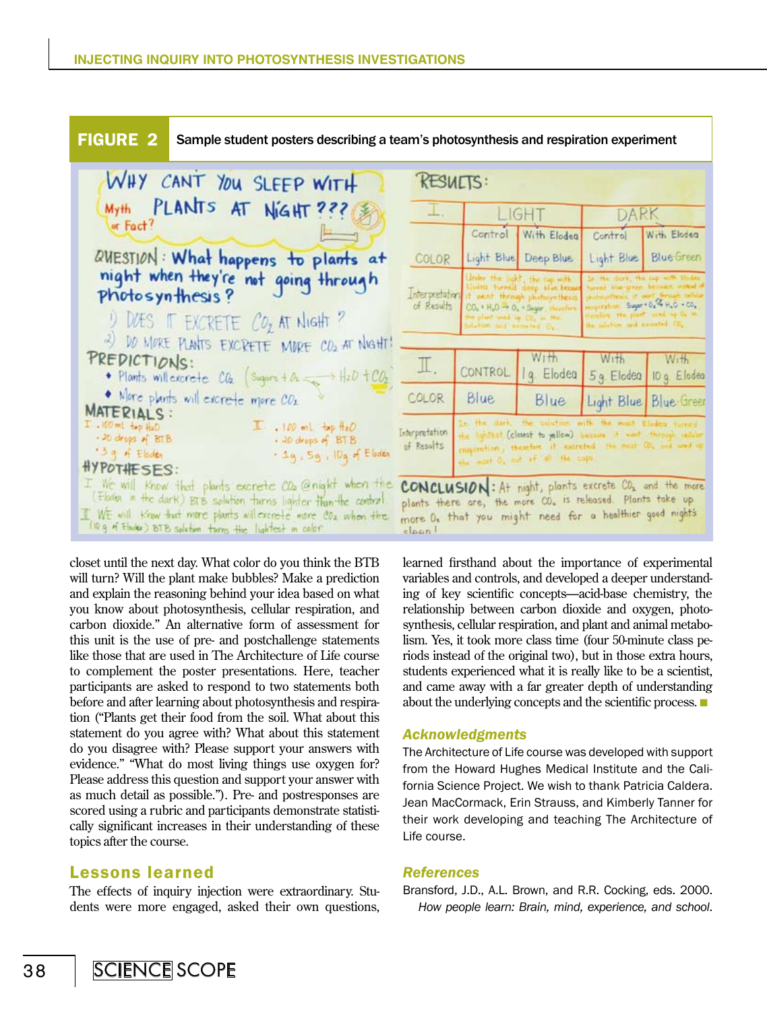

closet until the next day. What color do you think the BTB will turn? Will the plant make bubbles? Make a prediction and explain the reasoning behind your idea based on what you know about photosynthesis, cellular respiration, and carbon dioxide." An alternative form of assessment for this unit is the use of pre- and postchallenge statements like those that are used in The Architecture of Life course to complement the poster presentations. Here, teacher participants are asked to respond to two statements both before and after learning about photosynthesis and respiration ("Plants get their food from the soil. What about this statement do you agree with? What about this statement do you disagree with? Please support your answers with evidence." "What do most living things use oxygen for? Please address this question and support your answer with as much detail as possible."). Pre- and postresponses are scored using a rubric and participants demonstrate statistically significant increases in their understanding of these topics after the course.

# Lessons learned

The effects of inquiry injection were extraordinary. Students were more engaged, asked their own questions,

learned firsthand about the importance of experimental variables and controls, and developed a deeper understanding of key scientific concepts—acid-base chemistry, the relationship between carbon dioxide and oxygen, photosynthesis, cellular respiration, and plant and animal metabolism. Yes, it took more class time (four 50-minute class periods instead of the original two), but in those extra hours, students experienced what it is really like to be a scientist, and came away with a far greater depth of understanding about the underlying concepts and the scientific process.  $\blacksquare$ 

# *Acknowledgments*

The Architecture of Life course was developed with support from the Howard Hughes Medical Institute and the California Science Project. We wish to thank Patricia Caldera. Jean MacCormack, Erin Strauss, and Kimberly Tanner for their work developing and teaching The Architecture of Life course.

# *References*

Bransford, J.D., A.L. Brown, and R.R. Cocking, eds. 2000. *How people learn: Brain, mind, experience, and school*.